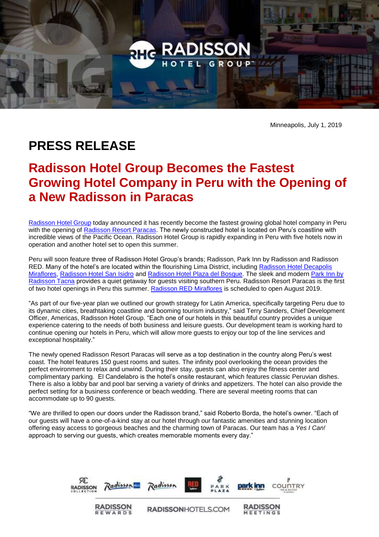

Minneapolis, July 1, 2019

## **PRESS RELEASE**

## **Radisson Hotel Group Becomes the Fastest Growing Hotel Company in Peru with the Opening of a New Radisson in Paracas**

[Radisson Hotel Group](https://www.radissonhotelgroup.com/) today announced it has recently become the fastest growing global hotel company in Peru with the opening of [Radisson Resort Paracas.](https://www.radisson.com/nuevo-paracas-ica-hotel-pe-11550/perpape) The newly constructed hotel is located on Peru's coastline with incredible views of the Pacific Ocean. Radisson Hotel Group is rapidly expanding in Peru with five hotels now in operation and another hotel set to open this summer.

Peru will soon feature three of Radisson Hotel Group's brands; Radisson, Park Inn by Radisson and Radisson RED. Many of the hotel's are located within the flourishing Lima District, including [Radisson Hotel Decapolis](https://www.radisson.com/miraflores-hotel-pe-lima18/peflores?s_cid=os.amer-pe-rad-PEFLORES-gmb)  [Miraflores,](https://www.radisson.com/miraflores-hotel-pe-lima18/peflores?s_cid=os.amer-pe-rad-PEFLORES-gmb) [Radisson Hotel San Isidro](https://www.radisson.com/san-isidro-lima-27-hotel-pe/peisidro?s_cid=os.amer-pe-rad-PEISIDRO-yxt) and [Radisson Hotel Plaza del Bosque.](https://www.radisson.com/san-isidro-lima-hotel-pe-27/perbqpe?s_cid=os.amer-pe-rad-PERBQPE-gmb) The sleek and modern [Park Inn by](https://www.parkinn.com/tacna?csref=os.amer-pe-prk-PERTAPE-gmb)  [Radisson Tacna](https://www.parkinn.com/tacna?csref=os.amer-pe-prk-PERTAPE-gmb) provides a quiet getaway for guests visiting southern Peru. Radisson Resort Paracas is the first of two hotel openings in Peru this summer. [Radisson RED Miraflores](https://www.radissonhotels.com/en-us/hotels/radisson-red-miraflores?cid=a:se+b:gmb+c:amer+i:local+e:rdr+d:latam+h:PERMIPE) is scheduled to open August 2019.

"As part of our five-year plan we outlined our growth strategy for Latin America, specifically targeting Peru due to its dynamic cities, breathtaking coastline and booming tourism industry," said Terry Sanders, Chief Development Officer, Americas, Radisson Hotel Group. "Each one of our hotels in this beautiful country provides a unique experience catering to the needs of both business and leisure guests. Our development team is working hard to continue opening our hotels in Peru, which will allow more guests to enjoy our top of the line services and exceptional hospitality."

The newly opened Radisson Resort Paracas will serve as a top destination in the country along Peru's west coast. The hotel features 150 guest rooms and suites. The infinity pool overlooking the ocean provides the perfect environment to relax and unwind. During their stay, guests can also enjoy the fitness center and complimentary parking. El Candelabro is the hotel's onsite restaurant, which features classic Peruvian dishes. There is also a lobby bar and pool bar serving a variety of drinks and appetizers. The hotel can also provide the perfect setting for a business conference or beach wedding. There are several meeting rooms that can accommodate up to 90 guests.

"We are thrilled to open our doors under the Radisson brand," said Roberto Borda, the hotel's owner. "Each of our guests will have a one-of-a-kind stay at our hotel through our fantastic amenities and stunning location offering easy access to gorgeous beaches and the charming town of Paracas. Our team has a *Yes I Can!* approach to serving our guests, which creates memorable moments every day."